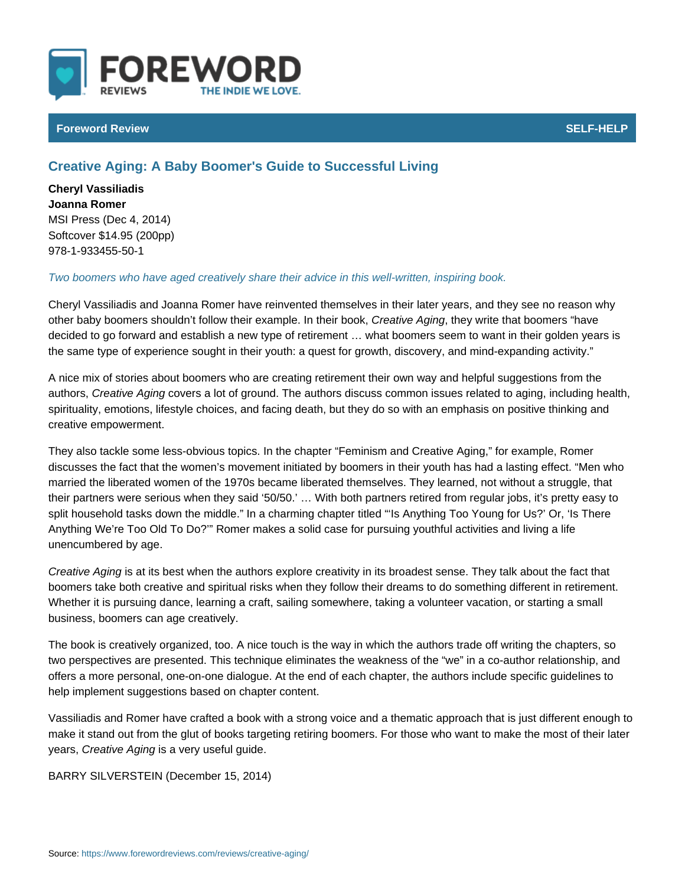## Foreword Review SELF-HELP CONTROL CONTROL CONTROL CONTROL CONTROL CONTROL CONTROL CONTROL CONTROL CONTROL CONTROL CONTROL CONTROL CONTROL CONTROL CONTROL CONTROL CONTROL CONTROL CONTROL CONTROL CONTROL CONTROL CONTROL CONT

## Creative Aging: A Baby Boomer's Guide to Successful Living

Cheryl Vassiliadis Joanna Romer MSI Press (Dec 4, 2014) Softcover \$14.95 (200pp) 978-1-933455-50-1

## Two boomers who have aged creatively share their advice in this well-written, in

Cheryl Vassiliadis and Joanna Romer have reinvented themselves in their later other baby boomers shouldn t follow theiCreexaatmypeleAgi**hne**gthweritt**e** otohka,t boomers hav decided to go forward and establish a new type of retirement & what boomers seem to want in the set of mergolo the same type of experience sought in their youth: a quest for growth, discover

A nice mix of stories about boomers who are creating retirement their own way autho Csr, eative Agging rs a lot of ground. The authors discuss common issues rela spirituality, emotions, lifestyle choices, and facing death, but they do so with a creative empowerment.

They also tackle some less-obvious topics. In the chapter Feminism and Creati discusses the fact that the women s movement initiated by boomers in their you married the liberated women of the 1970s became liberated themselves. They le their partners were serious when they said 50/50. & With both partners retired split household tasks down the middle. In a charming chapter titled Is Anythi Anything We re Too Old To Do? Romer makes a solid case for pursuing youthf unencumbered by age.

Creative Aigsimag its best when the authors explore creativity in its broadest sens boomers take both creative and spiritual risks when they follow their dreams to Whether it is pursuing dance, learning a craft, sailing somewhere, taking a volu business, boomers can age creatively.

The book is creatively organized, too. A nice touch is the way in which the auth two perspectives are presented. This technique eliminates the weakness of the offers a more personal, one-on-one dialogue. At the end of each chapter, the a help implement suggestions based on chapter content.

Vassiliadis and Romer have crafted a book with a strong voice and a thematic a make it stand out from the glut of books targeting retiring boomers. For those v year C, reative Aigsinagvery useful guide.

BARRY SILVER SOTGEGION mber 15, 2014)